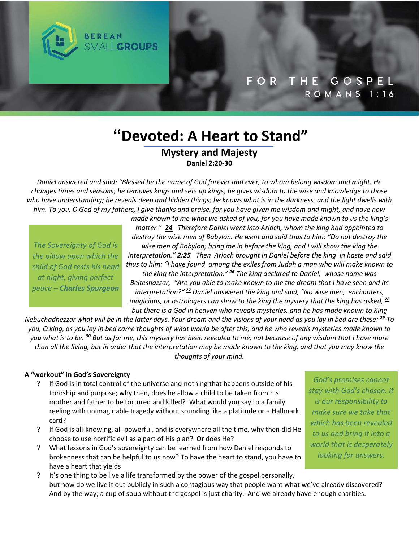

# **"Devoted: A Heart to Stand"**

## **Mystery and Majesty Daniel 2:20-30**

Daniel answered and said: "Blessed be the name of God forever and ever, to whom belong wisdom and might. He changes times and seasons; he removes kings and sets up kings; he gives wisdom to the wise and knowledge to those who have understanding; he reveals deep and hidden things; he knows what is in the darkness, and the light dwells with him. To you, O God of my fathers, I give thanks and praise, for you have given me wisdom and might, and have now

The Sovereignty of God is the pillow upon which the child of God rests his head at night, giving perfect peace - Charles Spurgeon

*made known to me what we asked of you, for you have made known to us the king's matter." 24 Therefore Daniel went into Arioch, whom the king had appointed to destroy the wise men of Babylon. He went and said thus to him: "Do not destroy the wise men of Babylon; bring me in before the king, and I will show the king the interpretation." 2:25 Then Arioch brought in Daniel before the king in haste and said*

*thus to him: "I have found among the exiles from Judah a man who will make known to the king the interpretation." <sup>26</sup> The king declared to Daniel, whose name was*

*Belteshazzar, "Are you able to make known to me the dream that I have seen and its interpretation?" <sup>27</sup> Daniel answered the king and said, "No wise men, enchanters, magicians, or astrologers can show to the king the mystery that the king has asked, <sup>28</sup> but there is a God in heaven who reveals mysteries, and he has made known to King*

Nebuchadnezzar what will be in the latter days. Your dream and the visions of your head as you lay in bed are these:  $\frac{29}{10}$  To you, O king, as you lay in bed came thoughts of what would be after this, and he who reveals mysteries made known to you what is to be. 30 But as for me, this mystery has been revealed to me, not because of any wisdom that I have more than all the living, but in order that the interpretation may be made known to the king, and that you may know the *thoughts of your mind.*

### **A "workout" in God's Sovereignty**

- ? If God is in total control of the universe and nothing that happens outside of his Lordship and purpose; why then, does he allow a child to be taken from his mother and father to be tortured and killed? What would you say to a family reeling with unimaginable tragedy without sounding like a platitude or a Hallmark card?
- ? If God is all-knowing, all-powerful, and is everywhere all the time, why then did He choose to use horrific evil as a part of His plan? Or does He?
- ? What lessons in God's sovereignty can be learned from how Daniel responds to brokenness that can be helpful to us now? To have the heart to stand, you have to have a heart that yields
- ? It's one thing to be live a life transformed by the power of the gospel personally, but how do we live it out publicly in such a contagious way that people want what we've already discovered? And by the way; a cup of soup without the gospel is just charity. And we already have enough charities.

God's promises cannot stay with God's chosen. It is our responsibility to make sure we take that which has been revealed to us and bring it into a world that is desperately looking for answers.